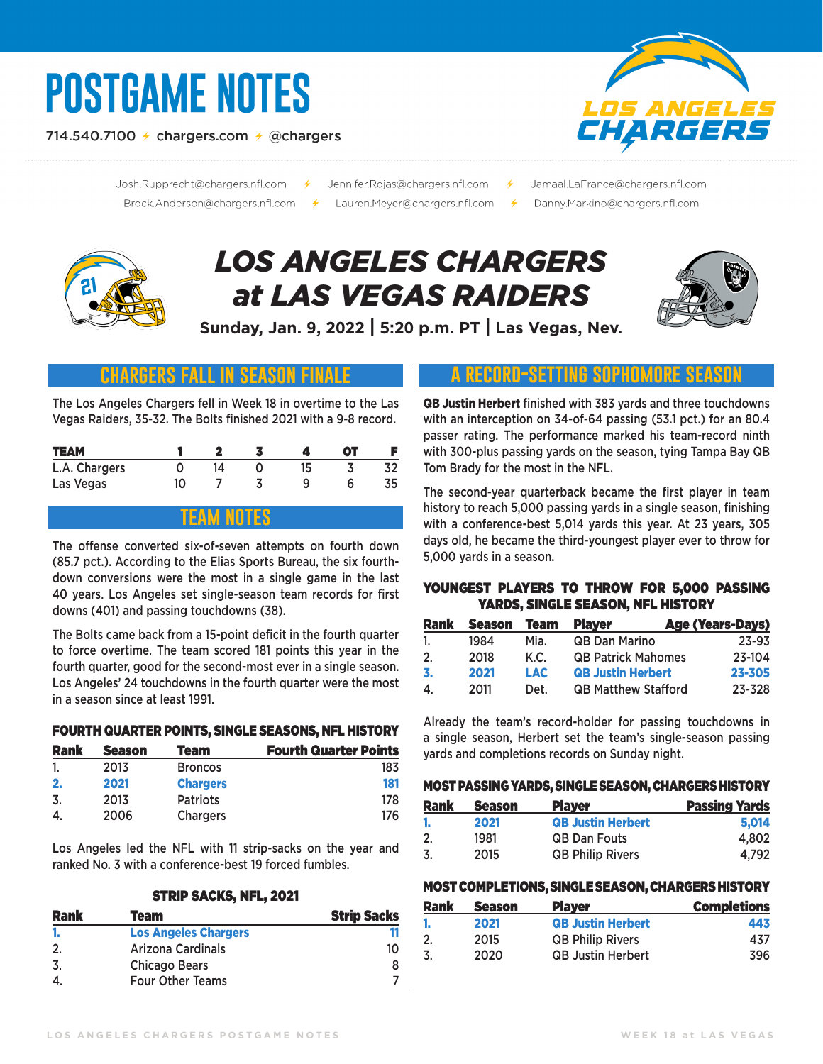# **POSTGAME NOTES**

714.540.7100  $\neq$  chargers.com  $\neq$  @chargers



Josh.Rupprecht@chargers.nfl.com 

- Jennifer.Rojas@chargers.nfl.com 
<del>/</del>
	- Jamaal.LaFrance@chargers.nfl.com
	- Danny.Markino@chargers.nfl.com

## *LOS ANGELES CHARGERS at LAS VEGAS RAIDERS*



**Sunday, Jan. 9, 2022 | 5:20 p.m. PT | Las Vegas, Nev.**

## **chargers fall in season finale**

The Los Angeles Chargers fell in Week 18 in overtime to the Las Vegas Raiders, 35-32. The Bolts finished 2021 with a 9-8 record.

| <b>TEAM</b>   |    |    |    | от |  |
|---------------|----|----|----|----|--|
| L.A. Chargers |    | 14 | 15 |    |  |
| Las Vegas     | 10 |    |    |    |  |

## **team notes**

The offense converted six-of-seven attempts on fourth down (85.7 pct.). According to the Elias Sports Bureau, the six fourthdown conversions were the most in a single game in the last 40 years. Los Angeles set single-season team records for first downs (401) and passing touchdowns (38).

The Bolts came back from a 15-point deficit in the fourth quarter to force overtime. The team scored 181 points this year in the fourth quarter, good for the second-most ever in a single season. Los Angeles' 24 touchdowns in the fourth quarter were the most in a season since at least 1991.

#### FOURTH QUARTER POINTS, SINGLE SEASONS, NFL HISTORY

| <b>Rank</b> | <b>Season</b> | Team            | <b>Fourth Quarter Points</b> |
|-------------|---------------|-----------------|------------------------------|
|             | 2013          | <b>Broncos</b>  | 183                          |
| 2.          | 2021          | <b>Chargers</b> | 181                          |
| .3          | 2013          | <b>Patriots</b> | 178                          |
| 4.          | 2006          | <b>Chargers</b> | 176                          |

Los Angeles led the NFL with 11 strip-sacks on the year and ranked No. 3 with a conference-best 19 forced fumbles.

#### STRIP SACKS, NFL, 2021

| <b>Rank</b> | Team                        | <b>Strip Sacks</b> |
|-------------|-----------------------------|--------------------|
|             | <b>Los Angeles Chargers</b> |                    |
|             | Arizona Cardinals           | 10                 |
| -3.         | <b>Chicago Bears</b>        |                    |
|             | Four Other Teams            |                    |

## **a record-setting sophomore season**

QB Justin Herbert finished with 383 yards and three touchdowns with an interception on 34-of-64 passing (53.1 pct.) for an 80.4 passer rating. The performance marked his team-record ninth with 300-plus passing yards on the season, tying Tampa Bay QB Tom Brady for the most in the NFL.

The second-year quarterback became the first player in team history to reach 5,000 passing yards in a single season, finishing with a conference-best 5,014 yards this year. At 23 years, 305 days old, he became the third-youngest player ever to throw for 5,000 yards in a season.

#### YOUNGEST PLAYERS TO THROW FOR 5,000 PASSING YARDS, SINGLE SEASON, NFL HISTORY

| <b>Rank</b> | Season | Team | <b>Player</b>              | <b>Age (Years-Days)</b> |
|-------------|--------|------|----------------------------|-------------------------|
| 1.          | 1984   | Mia. | <b>QB Dan Marino</b>       | 23-93                   |
| 2.          | 2018   | K.C. | <b>QB Patrick Mahomes</b>  | 23-104                  |
| 3.          | 2021   | LAC. | <b>QB Justin Herbert</b>   | 23-305                  |
| 4.          | 2011   | Det. | <b>QB Matthew Stafford</b> | 23-328                  |

Already the team's record-holder for passing touchdowns in a single season, Herbert set the team's single-season passing yards and completions records on Sunday night.

#### MOST PASSING YARDS, SINGLE SEASON, CHARGERS HISTORY

| <b>Rank</b> | <b>Season</b> | <b>Player</b>            | <b>Passing Yards</b> |
|-------------|---------------|--------------------------|----------------------|
|             | 2021          | <b>QB Justin Herbert</b> | 5.014                |
| 2.          | 1981          | <b>QB Dan Fouts</b>      | 4.802                |
| -3.         | 2015          | <b>QB Philip Rivers</b>  | 4.792                |

#### MOST COMPLETIONS, SINGLE SEASON, CHARGERS HISTORY

| <b>Rank</b> | <b>Season</b> | <b>Player</b>            | <b>Completions</b> |
|-------------|---------------|--------------------------|--------------------|
|             | 2021          | <b>QB Justin Herbert</b> | 443                |
| 2.          | 2015          | <b>QB Philip Rivers</b>  | 437                |
| -3.         | 2020          | <b>QB Justin Herbert</b> | 396                |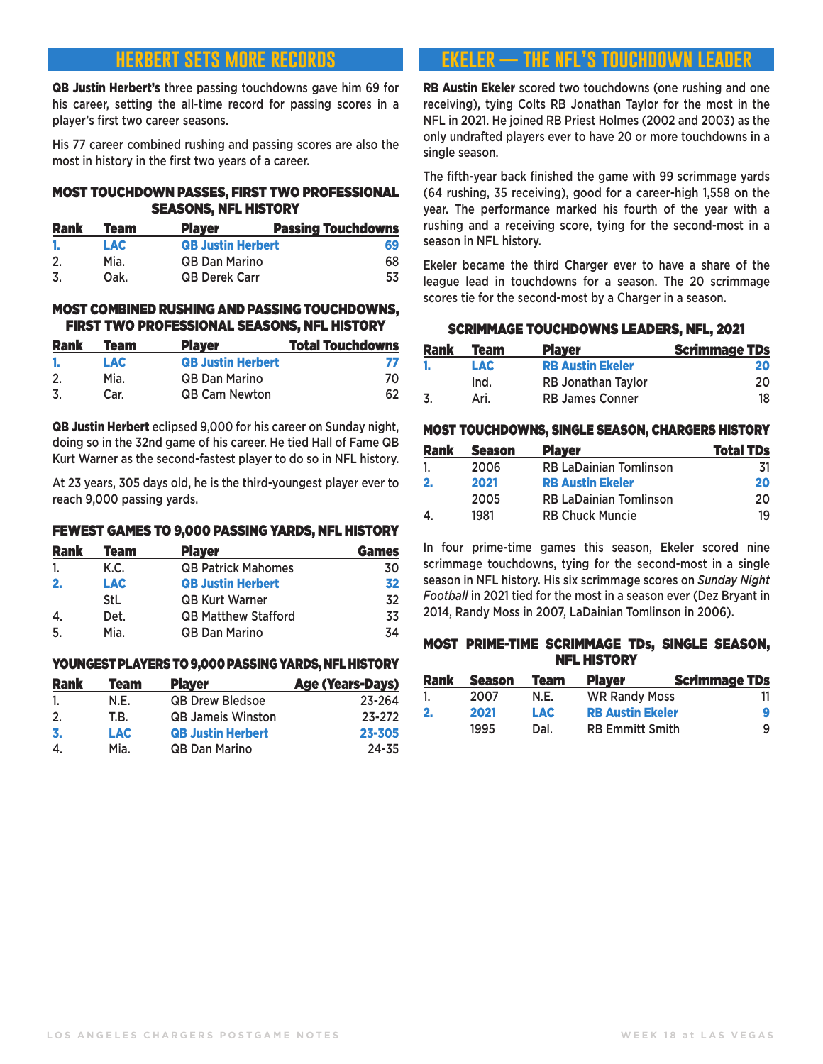## **herbert sets more records**

QB Justin Herbert's three passing touchdowns gave him 69 for his career, setting the all-time record for passing scores in a player's first two career seasons.

His 77 career combined rushing and passing scores are also the most in history in the first two years of a career.

#### MOST TOUCHDOWN PASSES, FIRST TWO PROFESSIONAL SEASONS, NFL HISTORY

| <b>Rank</b> | <b>Team</b> | <b>Player</b>            | <b>Passing Touchdowns</b> |
|-------------|-------------|--------------------------|---------------------------|
| л.          | LAC         | <b>QB Justin Herbert</b> | 69                        |
| -2.         | Mia.        | <b>QB Dan Marino</b>     | 68                        |
| -3.         | Oak.        | <b>QB Derek Carr</b>     | 53                        |

#### MOST COMBINED RUSHING AND PASSING TOUCHDOWNS, FIRST TWO PROFESSIONAL SEASONS, NFL HISTORY

| <b>Rank</b> | Team | <b>Player</b>            | <b>Total Touchdowns</b> |
|-------------|------|--------------------------|-------------------------|
|             | LAC  | <b>QB Justin Herbert</b> |                         |
| 2.          | Mia. | <b>QB Dan Marino</b>     | 70                      |
| -3.         | Car. | <b>QB Cam Newton</b>     | 62                      |

QB Justin Herbert eclipsed 9,000 for his career on Sunday night, doing so in the 32nd game of his career. He tied Hall of Fame QB Kurt Warner as the second-fastest player to do so in NFL history.

At 23 years, 305 days old, he is the third-youngest player ever to reach 9,000 passing yards.

#### FEWEST GAMES TO 9,000 PASSING YARDS, NFL HISTORY

| <b>Rank</b> | Team       | <b>Player</b>              | <b>Games</b> |
|-------------|------------|----------------------------|--------------|
| 1.          | K.C.       | <b>QB Patrick Mahomes</b>  | 30           |
| 2.          | <b>LAC</b> | <b>QB Justin Herbert</b>   | 32           |
|             | StL        | <b>QB Kurt Warner</b>      | 32           |
| 4.          | Det.       | <b>QB Matthew Stafford</b> | 33           |
| .5.         | Mia.       | <b>QB Dan Marino</b>       | 34           |

#### YOUNGESTPLAYERS TO 9,000 PASSING YARDS, NFL HISTORY

| <b>Rank</b> | Team       | <b>Player</b>            | <b>Age (Years-Days)</b> |
|-------------|------------|--------------------------|-------------------------|
| 1.          | N.E.       | <b>QB Drew Bledsoe</b>   | 23-264                  |
| 2.          | T.B.       | <b>QB Jameis Winston</b> | 23-272                  |
| 3.          | <b>LAC</b> | <b>QB Justin Herbert</b> | 23-305                  |
| 4.          | Mia.       | <b>QB Dan Marino</b>     | $24 - 35$               |

## **ekeler — the nfl's touchdown leader**

RB Austin Ekeler scored two touchdowns (one rushing and one receiving), tying Colts RB Jonathan Taylor for the most in the NFL in 2021. He joined RB Priest Holmes (2002 and 2003) as the only undrafted players ever to have 20 or more touchdowns in a single season.

The fifth-year back finished the game with 99 scrimmage yards (64 rushing, 35 receiving), good for a career-high 1,558 on the year. The performance marked his fourth of the year with a rushing and a receiving score, tying for the second-most in a season in NFL history.

Ekeler became the third Charger ever to have a share of the league lead in touchdowns for a season. The 20 scrimmage scores tie for the second-most by a Charger in a season.

#### SCRIMMAGE TOUCHDOWNS LEADERS, NFL, 2021

| <b>Rank</b> | <b>Team</b> | <b>Player</b>             | <b>Scrimmage TDs</b> |
|-------------|-------------|---------------------------|----------------------|
|             | <b>LAC</b>  | <b>RB Austin Ekeler</b>   | 20                   |
|             | Ind.        | <b>RB Jonathan Taylor</b> | 20                   |
|             | Ari.        | <b>RB James Conner</b>    | 18                   |

#### MOST TOUCHDOWNS, SINGLE SEASON, CHARGERS HISTORY

| <b>Rank</b>  | <b>Season</b> | <b>Player</b>                 | <b>Total TDs</b> |
|--------------|---------------|-------------------------------|------------------|
|              | 2006          | <b>RB LaDainian Tomlinson</b> | -31              |
| $\mathbf{2}$ | 2021          | <b>RB Austin Ekeler</b>       | 20               |
|              | 2005          | <b>RB LaDainian Tomlinson</b> | 20               |
|              | 1981          | <b>RB Chuck Muncie</b>        | 19               |

In four prime-time games this season, Ekeler scored nine scrimmage touchdowns, tying for the second-most in a single season in NFL history. His six scrimmage scores on *Sunday Night Football* in 2021 tied for the most in a season ever (Dez Bryant in 2014, Randy Moss in 2007, LaDainian Tomlinson in 2006).

#### MOST PRIME-TIME SCRIMMAGE TDs, SINGLE SEASON, NFL HISTORY

| <b>Rank</b> | <b>Season</b> | Team | <b>Player</b>           | <b>Scrimmage TDs</b> |
|-------------|---------------|------|-------------------------|----------------------|
|             | 2007          | N.E. | <b>WR Randy Moss</b>    |                      |
| -2.         | 2021          | LAC. | <b>RB Austin Ekeler</b> | q                    |
|             | 1995          | Dal. | <b>RB Emmitt Smith</b>  | a                    |